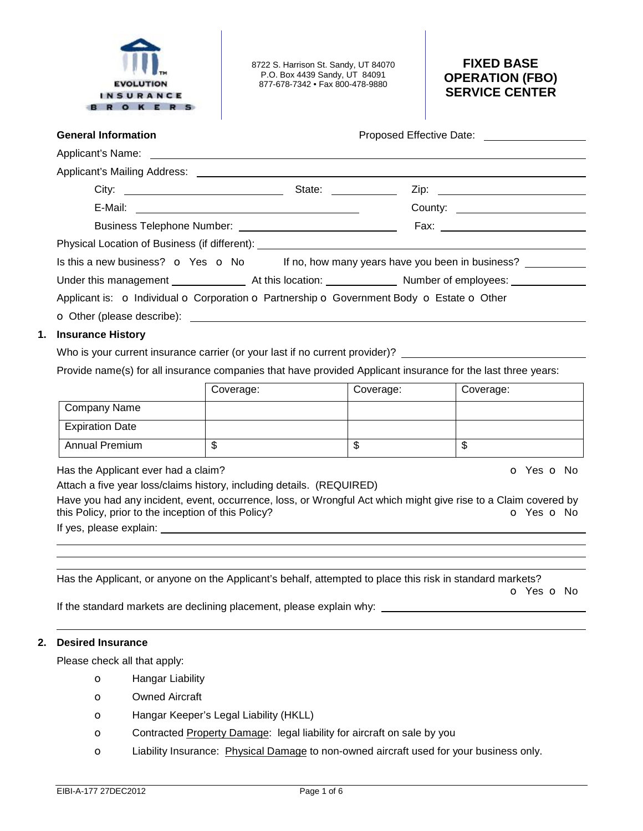

8722 S. Harrison St. Sandy, UT 84070 P.O. Box 4439 Sandy, UT 84091 877-678-7342 • Fax 800-478-9880

# **FIXED BASE OPERATION (FBO) SERVICE CENTER**

| <b>General Information</b>                          |                                                                       |                                                                                                           | Proposed Effective Date: Notelland School and School and School and School and School and School and School and School and School and School and School and School and School and School and School and School and School and |
|-----------------------------------------------------|-----------------------------------------------------------------------|-----------------------------------------------------------------------------------------------------------|-------------------------------------------------------------------------------------------------------------------------------------------------------------------------------------------------------------------------------|
| Applicant's Name:<br>Applicant's Name:              |                                                                       |                                                                                                           |                                                                                                                                                                                                                               |
|                                                     |                                                                       |                                                                                                           |                                                                                                                                                                                                                               |
|                                                     |                                                                       |                                                                                                           |                                                                                                                                                                                                                               |
|                                                     |                                                                       |                                                                                                           |                                                                                                                                                                                                                               |
|                                                     |                                                                       |                                                                                                           |                                                                                                                                                                                                                               |
|                                                     |                                                                       |                                                                                                           |                                                                                                                                                                                                                               |
|                                                     |                                                                       |                                                                                                           | Is this a new business? o Yes o No If no, how many years have you been in business?                                                                                                                                           |
|                                                     |                                                                       |                                                                                                           |                                                                                                                                                                                                                               |
|                                                     |                                                                       | Applicant is: o Individual o Corporation o Partnership o Government Body o Estate o Other                 |                                                                                                                                                                                                                               |
|                                                     |                                                                       |                                                                                                           |                                                                                                                                                                                                                               |
| 1. Insurance History                                |                                                                       |                                                                                                           |                                                                                                                                                                                                                               |
|                                                     |                                                                       |                                                                                                           | Who is your current insurance carrier (or your last if no current provider)?                                                                                                                                                  |
|                                                     |                                                                       |                                                                                                           | Provide name(s) for all insurance companies that have provided Applicant insurance for the last three years:                                                                                                                  |
|                                                     | Coverage:                                                             | Coverage:                                                                                                 | Coverage:                                                                                                                                                                                                                     |
| Company Name                                        |                                                                       |                                                                                                           |                                                                                                                                                                                                                               |
| <b>Expiration Date</b>                              |                                                                       |                                                                                                           |                                                                                                                                                                                                                               |
| <b>Annual Premium</b>                               | $\overline{\mathbb{S}}$                                               | \$.                                                                                                       | $\overline{\mathcal{E}}$                                                                                                                                                                                                      |
|                                                     |                                                                       |                                                                                                           |                                                                                                                                                                                                                               |
| Has the Applicant ever had a claim?                 |                                                                       |                                                                                                           | O Yes O No                                                                                                                                                                                                                    |
| this Policy, prior to the inception of this Policy? | Attach a five year loss/claims history, including details. (REQUIRED) |                                                                                                           | Have you had any incident, event, occurrence, loss, or Wrongful Act which might give rise to a Claim covered by<br>O Yes O No                                                                                                 |
|                                                     |                                                                       | Has the Applicant, or anyone on the Applicant's behalf, attempted to place this risk in standard markets? |                                                                                                                                                                                                                               |
|                                                     |                                                                       |                                                                                                           | <b>O</b> Yes <b>O</b> No<br>If the standard markets are declining placement, please explain why: _______________________________                                                                                              |

Please check all that apply:

- o Hangar Liability
- o Owned Aircraft
- o Hangar Keeper's Legal Liability (HKLL)
- o Contracted Property Damage: legal liability for aircraft on sale by you
- o Liability Insurance: Physical Damage to non-owned aircraft used for your business only.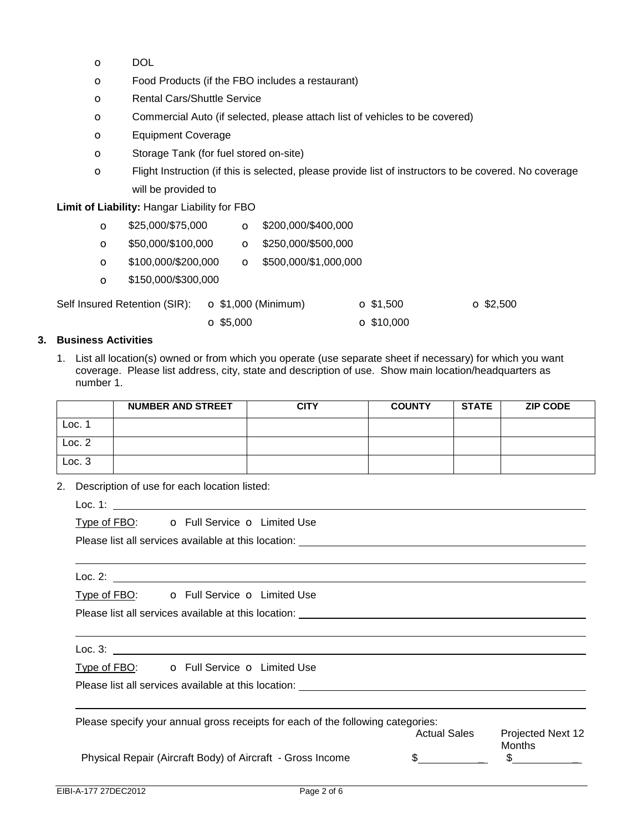- o DOL
- o Food Products (if the FBO includes a restaurant)
- o Rental Cars/Shuttle Service
- o Commercial Auto (if selected, please attach list of vehicles to be covered)
- o Equipment Coverage
- o Storage Tank (for fuel stored on-site)
- o Flight Instruction (if this is selected, please provide list of instructors to be covered. No coverage will be provided to

**Limit of Liability:** Hangar Liability for FBO

| $\circ$  | \$25,000/\$75,000             |                             | $\Omega$ \$200,000/\$400,000 |                   |                  |
|----------|-------------------------------|-----------------------------|------------------------------|-------------------|------------------|
| $\Omega$ | \$50,000/\$100,000            | $\Omega$                    | \$250,000/\$500,000          |                   |                  |
| $\circ$  | \$100,000/\$200,000           | $\circ$                     | \$500,000/\$1,000,000        |                   |                  |
| $\circ$  | \$150,000/\$300,000           |                             |                              |                   |                  |
|          | Self Insured Retention (SIR): | $\bullet$ \$1,000 (Minimum) |                              | $\Omega$ \$1,500  | $\Omega$ \$2,500 |
|          |                               | $\Omega$ \$5,000            |                              | $\Omega$ \$10,000 |                  |

# **3. Business Activities**

1. List all location(s) owned or from which you operate (use separate sheet if necessary) for which you want coverage. Please list address, city, state and description of use. Show main location/headquarters as number 1.

|                     | <b>NUMBER AND STREET</b> | <b>CITY</b> | <b>COUNTY</b> | <b>STATE</b> | <b>ZIP CODE</b> |
|---------------------|--------------------------|-------------|---------------|--------------|-----------------|
| $LOC.$ <sup>1</sup> |                          |             |               |              |                 |
| Loc.2               |                          |             |               |              |                 |
| Loc.3               |                          |             |               |              |                 |

2. Description of use for each location listed:

Loc. 1:

Type of FBO: **o** Full Service **o** Limited Use

Please list all services available at this location:

Loc. 2: \_\_\_\_\_\_

Type of FBO: **o** Full Service **o** Limited Use

Please list all services available at this location:

Loc. 3:

Type of FBO: **o** Full Service **o** Limited Use

Please list all services available at this location:

| Please specify your annual gross receipts for each of the following categories: |                     |                             |  |  |  |
|---------------------------------------------------------------------------------|---------------------|-----------------------------|--|--|--|
|                                                                                 | <b>Actual Sales</b> | Projected Next 12<br>Months |  |  |  |
| Physical Repair (Aircraft Body) of Aircraft - Gross Income                      |                     |                             |  |  |  |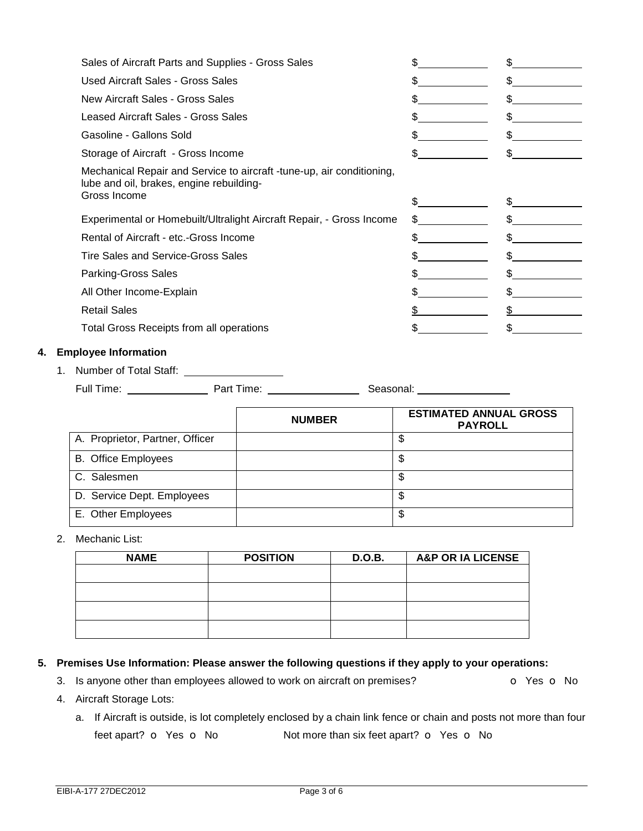|    | Sales of Aircraft Parts and Supplies - Gross Sales       |                                                                       | \$                                                             | $\frac{1}{2}$                                   |
|----|----------------------------------------------------------|-----------------------------------------------------------------------|----------------------------------------------------------------|-------------------------------------------------|
|    | <b>Used Aircraft Sales - Gross Sales</b>                 |                                                                       | \$                                                             | $\frac{1}{2}$                                   |
|    | <b>New Aircraft Sales - Gross Sales</b>                  |                                                                       | $\sim$                                                         | $\frac{1}{2}$                                   |
|    | <b>Leased Aircraft Sales - Gross Sales</b>               |                                                                       | \$                                                             | $\frac{1}{2}$                                   |
|    | Gasoline - Gallons Sold                                  |                                                                       | $\mathbb S$                                                    | $\frac{1}{2}$                                   |
|    | Storage of Aircraft - Gross Income                       |                                                                       | $\sim$                                                         | $\sim$                                          |
|    | lube and oil, brakes, engine rebuilding-<br>Gross Income | Mechanical Repair and Service to aircraft -tune-up, air conditioning, |                                                                |                                                 |
|    |                                                          |                                                                       | $\frac{1}{2}$                                                  | $\frac{1}{2}$                                   |
|    |                                                          | Experimental or Homebuilt/Ultralight Aircraft Repair, - Gross Income  | $\frac{1}{2}$                                                  | $\frac{1}{2}$                                   |
|    | Rental of Aircraft - etc.-Gross Income                   |                                                                       | $\frac{1}{2}$                                                  | $\frac{1}{2}$                                   |
|    | <b>Tire Sales and Service-Gross Sales</b>                |                                                                       | $\mathbb{S}$                                                   | $\frac{1}{2}$                                   |
|    | <b>Parking-Gross Sales</b>                               |                                                                       | $\mathbb{S}$                                                   | $\frac{1}{2}$                                   |
|    | All Other Income-Explain                                 |                                                                       | \$                                                             | $\frac{1}{2}$                                   |
|    | <b>Retail Sales</b>                                      |                                                                       | $\frac{1}{2}$                                                  | $\frac{1}{2}$                                   |
|    | Total Gross Receipts from all operations                 |                                                                       | $\frac{1}{2}$                                                  | $\frac{1}{2}$                                   |
| 4. | <b>Employee Information</b>                              |                                                                       |                                                                |                                                 |
|    | 1. Number of Total Staff: ____________________           |                                                                       |                                                                |                                                 |
|    |                                                          |                                                                       | Seasonal: <b>Seasonal</b> : <b>Seasonal</b> : <b>Seasonal:</b> |                                                 |
|    |                                                          | <b>NUMBER</b>                                                         |                                                                | <b>ESTIMATED ANNUAL GROSS</b><br><b>PAYROLL</b> |
|    | A. Proprietor, Partner, Officer                          |                                                                       | $\overline{\mathcal{S}}$                                       |                                                 |
|    | <b>B.</b> Office Employees                               |                                                                       | $\mathfrak{S}$                                                 |                                                 |
|    | C. Salesmen                                              |                                                                       | $\mathbb{S}$                                                   |                                                 |
|    | D. Service Dept. Employees                               |                                                                       | $\overline{\mathbb{S}}$                                        |                                                 |

### 2. Mechanic List:

| <b>NAME</b> | <b>POSITION</b> | D.O.B. | <b>A&amp;P OR IA LICENSE</b> |
|-------------|-----------------|--------|------------------------------|
|             |                 |        |                              |
|             |                 |        |                              |
|             |                 |        |                              |
|             |                 |        |                              |

## **5. Premises Use Information: Please answer the following questions if they apply to your operations:**

3. Is anyone other than employees allowed to work on aircraft on premises? **o** Yes **o** No

E. Other Employees 5

- 4. Aircraft Storage Lots:
	- a. If Aircraft is outside, is lot completely enclosed by a chain link fence or chain and posts not more than four feet apart? **o** Yes **o** No **Not more than six feet apart? <b>o** Yes **o** No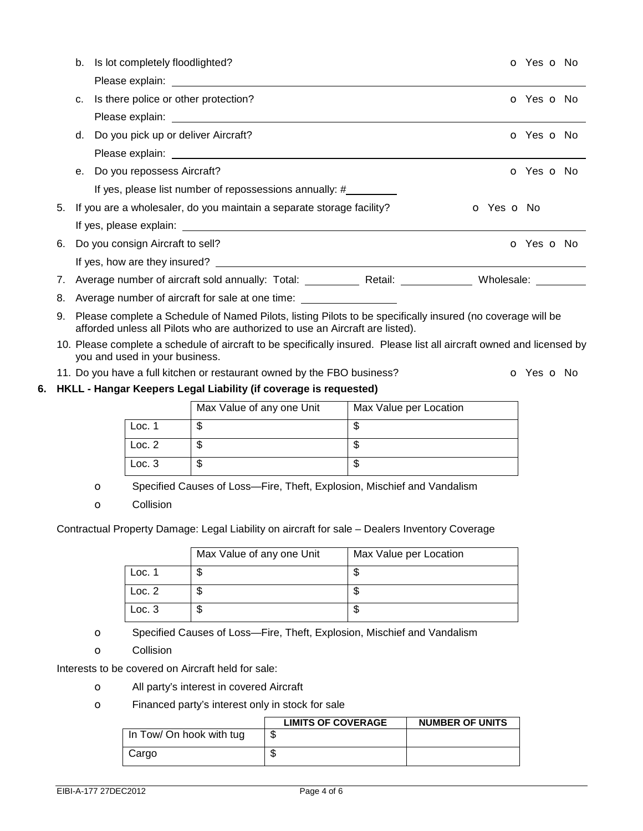|    | b. | Is lot completely floodlighted?                                                                                                                                                             |            | O Yes O No |  |
|----|----|---------------------------------------------------------------------------------------------------------------------------------------------------------------------------------------------|------------|------------|--|
|    |    |                                                                                                                                                                                             |            |            |  |
|    | C. | Is there police or other protection?                                                                                                                                                        |            | O Yes O No |  |
|    |    |                                                                                                                                                                                             |            |            |  |
|    | d. | Do you pick up or deliver Aircraft?                                                                                                                                                         |            | O Yes O No |  |
|    |    |                                                                                                                                                                                             |            |            |  |
|    | е. | Do you repossess Aircraft?                                                                                                                                                                  |            | O Yes O No |  |
|    |    | If yes, please list number of repossessions annually: #_________                                                                                                                            |            |            |  |
| 5. |    | If you are a wholesaler, do you maintain a separate storage facility?                                                                                                                       | o Yes o No |            |  |
|    |    |                                                                                                                                                                                             |            |            |  |
| 6. |    | Do you consign Aircraft to sell?                                                                                                                                                            |            | O Yes O No |  |
|    |    |                                                                                                                                                                                             |            |            |  |
| 7. |    | Average number of aircraft sold annually: Total: ______________ Retail: ________________ Wholesale: __________                                                                              |            |            |  |
| 8. |    | Average number of aircraft for sale at one time: _______________________________                                                                                                            |            |            |  |
| 9. |    | Please complete a Schedule of Named Pilots, listing Pilots to be specifically insured (no coverage will be<br>afforded unless all Pilots who are authorized to use an Aircraft are listed). |            |            |  |
|    |    | 10. Please complete a schedule of aircraft to be specifically insured. Please list all aircraft owned and licensed by<br>you and used in your business.                                     |            |            |  |
|    |    | 11. Do you have a full kitchen or restaurant owned by the FBO business?                                                                                                                     |            | O Yes O No |  |
|    |    | 6. HKLL - Hangar Keepers Legal Liability (if coverage is requested)                                                                                                                         |            |            |  |

|        | Max Value of any one Unit | Max Value per Location |
|--------|---------------------------|------------------------|
| Loc. 1 | ง                         |                        |
| Loc. 2 | ง                         |                        |
| Loc.3  | Φ                         | ۰D                     |

o Specified Causes of Loss—Fire, Theft, Explosion, Mischief and Vandalism

o Collision

Contractual Property Damage: Legal Liability on aircraft for sale – Dealers Inventory Coverage

|        | Max Value of any one Unit | Max Value per Location |
|--------|---------------------------|------------------------|
| Loc. 1 |                           |                        |
| Loc. 2 |                           |                        |
| Loc.3  | ۰D                        |                        |

o Specified Causes of Loss—Fire, Theft, Explosion, Mischief and Vandalism

o Collision

Interests to be covered on Aircraft held for sale:

- o All party's interest in covered Aircraft
- o Financed party's interest only in stock for sale

|                          | <b>LIMITS OF COVERAGE</b> | <b>NUMBER OF UNITS</b> |
|--------------------------|---------------------------|------------------------|
| In Tow/ On hook with tug | w                         |                        |
| Cargo                    | ۷IJ                       |                        |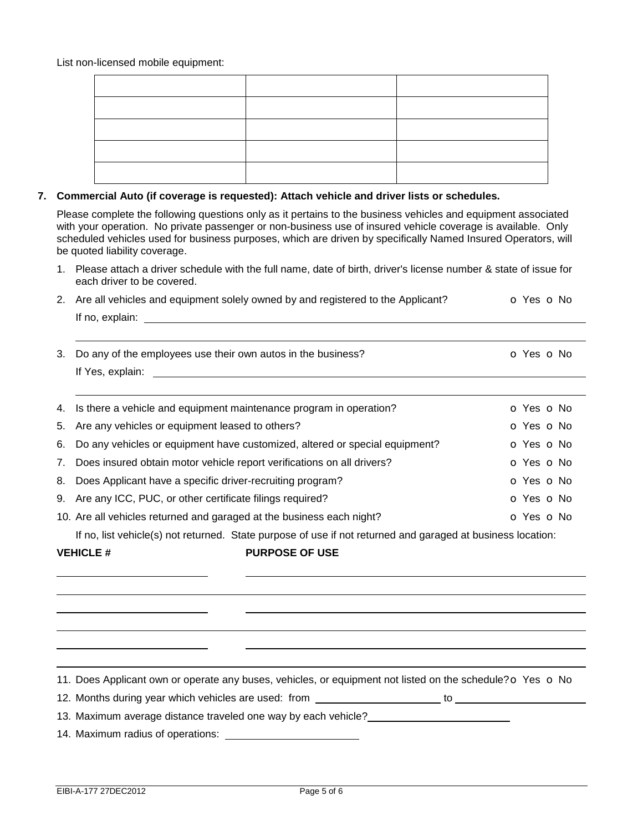List non-licensed mobile equipment:

#### **7. Commercial Auto (if coverage is requested): Attach vehicle and driver lists or schedules.**

Please complete the following questions only as it pertains to the business vehicles and equipment associated with your operation. No private passenger or non-business use of insured vehicle coverage is available. Only scheduled vehicles used for business purposes, which are driven by specifically Named Insured Operators, will be quoted liability coverage.

1. Please attach a driver schedule with the full name, date of birth, driver's license number & state of issue for each driver to be covered.

| 2. Are all vehicles and equipment solely owned by and registered to the Applicant? | <b>O</b> Yes <b>O</b> No |
|------------------------------------------------------------------------------------|--------------------------|
| If no, explain:                                                                    |                          |
|                                                                                    |                          |
|                                                                                    | $\mathbf{M}$             |

| 3. Do any of the employees use their own autos in the business? | O Yes O No |
|-----------------------------------------------------------------|------------|
| If Yes, explain:                                                |            |
|                                                                 |            |
|                                                                 |            |

| 4. Is there a vehicle and equipment maintenance program in operation?          | o Yes o No |
|--------------------------------------------------------------------------------|------------|
| 5. Are any vehicles or equipment leased to others?                             | o Yes o No |
| 6. Do any vehicles or equipment have customized, altered or special equipment? | O Yes O No |
| 7. Does insured obtain motor vehicle report verifications on all drivers?      | O Yes O No |
| 8. Does Applicant have a specific driver-recruiting program?                   | O Yes O No |
| 9. Are any ICC, PUC, or other certificate filings required?                    | o Yes o No |
| 10. Are all vehicles returned and garaged at the business each night?          | O Yes O No |

If no, list vehicle(s) not returned. State purpose of use if not returned and garaged at business location:

 

**VEHICLE # PURPOSE OF USE** 

11. Does Applicant own or operate any buses, vehicles, or equipment not listed on the schedule?  $\circ$  Yes  $\circ$  No

12. Months during year which vehicles are used: from **the contract of the contract of the contract of the contract of the contract of the contract of the contract of the contract of the contract of the contract of the cont** 

13. Maximum average distance traveled one way by each vehicle?\_\_\_\_\_

14. Maximum radius of operations: